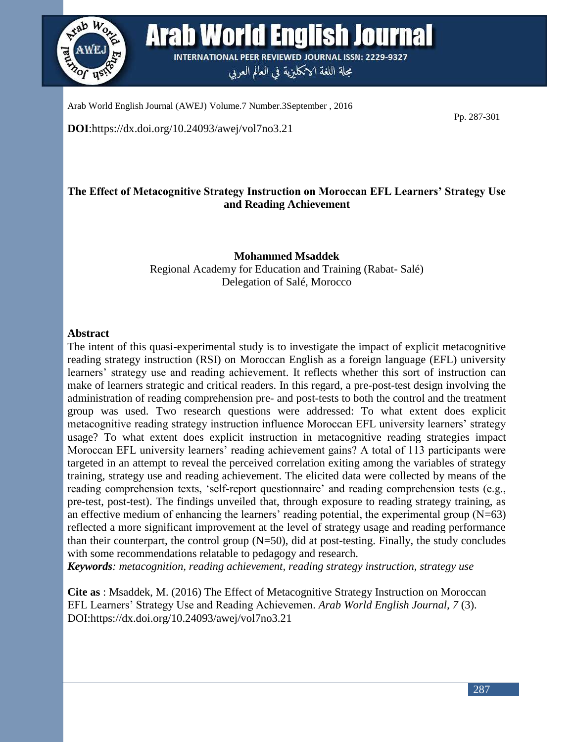

Arab World English Journal **INTERNATIONAL PEER REVIEWED JOURNAL ISSN: 2229-9327** 

مجلة اللغة الانكليزية في العالم العربي

Arab World English Journal (AWEJ) Volume.7 Number.3September , 2016

Pp. 287-301

**DOI**:https://dx.doi.org/10.24093/awej/vol7no3.21

# **The Effect of Metacognitive Strategy Instruction on Moroccan EFL Learners' Strategy Use and Reading Achievement**

**Mohammed Msaddek** Regional Academy for Education and Training (Rabat- Salé) Delegation of Salé, Morocco

## **Abstract**

The intent of this quasi-experimental study is to investigate the impact of explicit metacognitive reading strategy instruction (RSI) on Moroccan English as a foreign language (EFL) university learners' strategy use and reading achievement. It reflects whether this sort of instruction can make of learners strategic and critical readers. In this regard, a pre-post-test design involving the administration of reading comprehension pre- and post-tests to both the control and the treatment group was used. Two research questions were addressed: To what extent does explicit metacognitive reading strategy instruction influence Moroccan EFL university learners' strategy usage? To what extent does explicit instruction in metacognitive reading strategies impact Moroccan EFL university learners' reading achievement gains? A total of 113 participants were targeted in an attempt to reveal the perceived correlation exiting among the variables of strategy training, strategy use and reading achievement. The elicited data were collected by means of the reading comprehension texts, 'self-report questionnaire' and reading comprehension tests (e.g., pre-test, post-test). The findings unveiled that, through exposure to reading strategy training, as an effective medium of enhancing the learners' reading potential, the experimental group  $(N=63)$ reflected a more significant improvement at the level of strategy usage and reading performance than their counterpart, the control group (N=50), did at post-testing. Finally, the study concludes with some recommendations relatable to pedagogy and research.

*Keywords: metacognition, reading achievement, reading strategy instruction, strategy use*

**Cite as** : Msaddek, M. (2016) The Effect of Metacognitive Strategy Instruction on Moroccan EFL Learners' Strategy Use and Reading Achievemen. *Arab World English Journal, 7* (3). DOI:https://dx.doi.org/10.24093/awej/vol7no3.21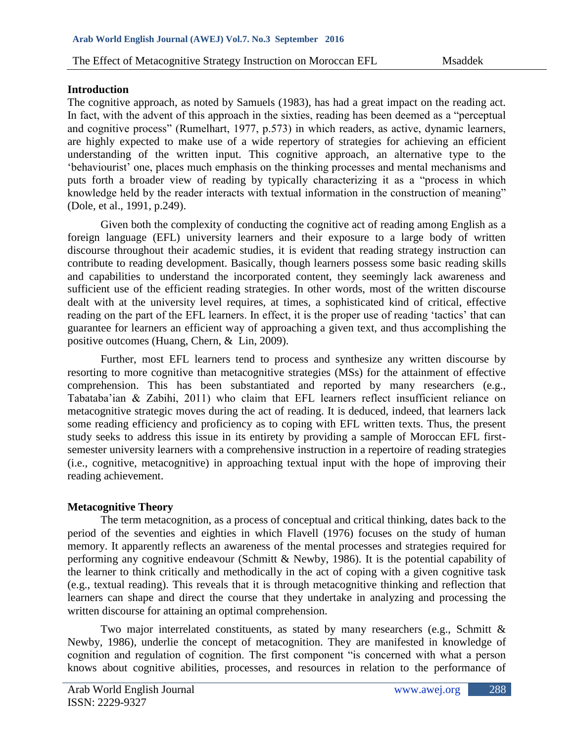## **Introduction**

The cognitive approach, as noted by Samuels (1983), has had a great impact on the reading act. In fact, with the advent of this approach in the sixties, reading has been deemed as a "perceptual and cognitive process" (Rumelhart, 1977, p.573) in which readers, as active, dynamic learners, are highly expected to make use of a wide repertory of strategies for achieving an efficient understanding of the written input. This cognitive approach, an alternative type to the 'behaviourist' one, places much emphasis on the thinking processes and mental mechanisms and puts forth a broader view of reading by typically characterizing it as a "process in which knowledge held by the reader interacts with textual information in the construction of meaning" (Dole, et al., 1991, p.249).

Given both the complexity of conducting the cognitive act of reading among English as a foreign language (EFL) university learners and their exposure to a large body of written discourse throughout their academic studies, it is evident that reading strategy instruction can contribute to reading development. Basically, though learners possess some basic reading skills and capabilities to understand the incorporated content, they seemingly lack awareness and sufficient use of the efficient reading strategies. In other words, most of the written discourse dealt with at the university level requires, at times, a sophisticated kind of critical, effective reading on the part of the EFL learners. In effect, it is the proper use of reading 'tactics' that can guarantee for learners an efficient way of approaching a given text, and thus accomplishing the positive outcomes (Huang, Chern, & Lin, 2009).

Further, most EFL learners tend to process and synthesize any written discourse by resorting to more cognitive than metacognitive strategies (MSs) for the attainment of effective comprehension. This has been substantiated and reported by many researchers (e.g., Tabataba'ian & Zabihi, 2011) who claim that EFL learners reflect insufficient reliance on metacognitive strategic moves during the act of reading. It is deduced, indeed, that learners lack some reading efficiency and proficiency as to coping with EFL written texts. Thus, the present study seeks to address this issue in its entirety by providing a sample of Moroccan EFL firstsemester university learners with a comprehensive instruction in a repertoire of reading strategies (i.e., cognitive, metacognitive) in approaching textual input with the hope of improving their reading achievement.

# **Metacognitive Theory**

The term metacognition, as a process of conceptual and critical thinking, dates back to the period of the seventies and eighties in which Flavell (1976) focuses on the study of human memory. It apparently reflects an awareness of the mental processes and strategies required for performing any cognitive endeavour (Schmitt & Newby, 1986). It is the potential capability of the learner to think critically and methodically in the act of coping with a given cognitive task (e.g., textual reading). This reveals that it is through metacognitive thinking and reflection that learners can shape and direct the course that they undertake in analyzing and processing the written discourse for attaining an optimal comprehension.

Two major interrelated constituents, as stated by many researchers (e.g., Schmitt & Newby, 1986), underlie the concept of metacognition. They are manifested in knowledge of cognition and regulation of cognition. The first component "is concerned with what a person knows about cognitive abilities, processes, and resources in relation to the performance of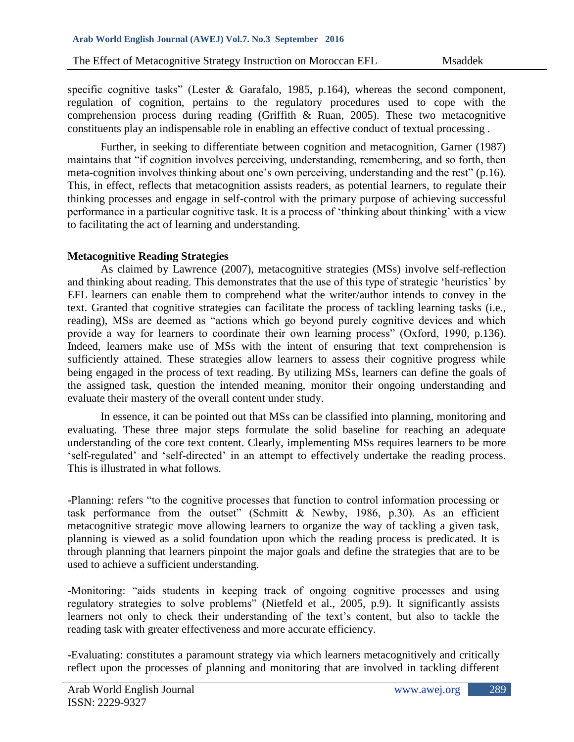specific cognitive tasks" (Lester & Garafalo, 1985, p.164), whereas the second component, regulation of cognition, pertains to the regulatory procedures used to cope with the comprehension process during reading (Griffith & Ruan, 2005). These two metacognitive constituents play an indispensable role in enabling an effective conduct of textual processing .

Further, in seeking to differentiate between cognition and metacognition, Garner (1987) maintains that "if cognition involves perceiving, understanding, remembering, and so forth, then meta-cognition involves thinking about one's own perceiving, understanding and the rest" (p.16). This, in effect, reflects that metacognition assists readers, as potential learners, to regulate their thinking processes and engage in self-control with the primary purpose of achieving successful performance in a particular cognitive task. It is a process of 'thinking about thinking' with a view to facilitating the act of learning and understanding.

## **Metacognitive Reading Strategies**

As claimed by Lawrence (2007), metacognitive strategies (MSs) involve self-reflection and thinking about reading. This demonstrates that the use of this type of strategic 'heuristics' by EFL learners can enable them to comprehend what the writer/author intends to convey in the text. Granted that cognitive strategies can facilitate the process of tackling learning tasks (i.e., reading), MSs are deemed as "actions which go beyond purely cognitive devices and which provide a way for learners to coordinate their own learning process" (Oxford, 1990, p.136). Indeed, learners make use of MSs with the intent of ensuring that text comprehension is sufficiently attained. These strategies allow learners to assess their cognitive progress while being engaged in the process of text reading. By utilizing MSs, learners can define the goals of the assigned task, question the intended meaning, monitor their ongoing understanding and evaluate their mastery of the overall content under study.

In essence, it can be pointed out that MSs can be classified into planning, monitoring and evaluating. These three major steps formulate the solid baseline for reaching an adequate understanding of the core text content. Clearly, implementing MSs requires learners to be more 'self-regulated' and 'self-directed' in an attempt to effectively undertake the reading process. This is illustrated in what follows.

**-**Planning: refers "to the cognitive processes that function to control information processing or task performance from the outset" (Schmitt & Newby, 1986, p.30). As an efficient metacognitive strategic move allowing learners to organize the way of tackling a given task, planning is viewed as a solid foundation upon which the reading process is predicated. It is through planning that learners pinpoint the major goals and define the strategies that are to be used to achieve a sufficient understanding.

**-**Monitoring: "aids students in keeping track of ongoing cognitive processes and using regulatory strategies to solve problems" (Nietfeld et al., 2005, p.9). It significantly assists learners not only to check their understanding of the text's content, but also to tackle the reading task with greater effectiveness and more accurate efficiency.

**-**Evaluating: constitutes a paramount strategy via which learners metacognitively and critically reflect upon the processes of planning and monitoring that are involved in tackling different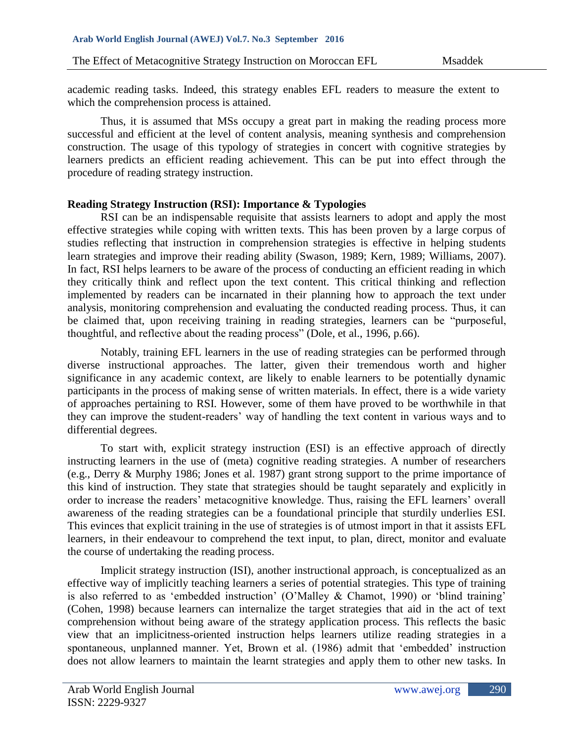academic reading tasks. Indeed, this strategy enables EFL readers to measure the extent to which the comprehension process is attained.

Thus, it is assumed that MSs occupy a great part in making the reading process more successful and efficient at the level of content analysis, meaning synthesis and comprehension construction. The usage of this typology of strategies in concert with cognitive strategies by learners predicts an efficient reading achievement. This can be put into effect through the procedure of reading strategy instruction.

# **Reading Strategy Instruction (RSI): Importance & Typologies**

RSI can be an indispensable requisite that assists learners to adopt and apply the most effective strategies while coping with written texts. This has been proven by a large corpus of studies reflecting that instruction in comprehension strategies is effective in helping students learn strategies and improve their reading ability (Swason, 1989; Kern, 1989; Williams, 2007). In fact, RSI helps learners to be aware of the process of conducting an efficient reading in which they critically think and reflect upon the text content. This critical thinking and reflection implemented by readers can be incarnated in their planning how to approach the text under analysis, monitoring comprehension and evaluating the conducted reading process. Thus, it can be claimed that, upon receiving training in reading strategies, learners can be "purposeful, thoughtful, and reflective about the reading process" (Dole, et al., 1996, p.66).

Notably, training EFL learners in the use of reading strategies can be performed through diverse instructional approaches. The latter, given their tremendous worth and higher significance in any academic context, are likely to enable learners to be potentially dynamic participants in the process of making sense of written materials. In effect, there is a wide variety of approaches pertaining to RSI. However, some of them have proved to be worthwhile in that they can improve the student-readers' way of handling the text content in various ways and to differential degrees.

To start with, explicit strategy instruction (ESI) is an effective approach of directly instructing learners in the use of (meta) cognitive reading strategies. A number of researchers (e.g., Derry & Murphy 1986; Jones et al. 1987) grant strong support to the prime importance of this kind of instruction. They state that strategies should be taught separately and explicitly in order to increase the readers' metacognitive knowledge. Thus, raising the EFL learners' overall awareness of the reading strategies can be a foundational principle that sturdily underlies ESI. This evinces that explicit training in the use of strategies is of utmost import in that it assists EFL learners, in their endeavour to comprehend the text input, to plan, direct, monitor and evaluate the course of undertaking the reading process.

Implicit strategy instruction (ISI), another instructional approach, is conceptualized as an effective way of implicitly teaching learners a series of potential strategies. This type of training is also referred to as 'embedded instruction' (O'Malley & Chamot, 1990) or 'blind training' (Cohen, 1998) because learners can internalize the target strategies that aid in the act of text comprehension without being aware of the strategy application process. This reflects the basic view that an implicitness-oriented instruction helps learners utilize reading strategies in a spontaneous, unplanned manner. Yet, Brown et al. (1986) admit that 'embedded' instruction does not allow learners to maintain the learnt strategies and apply them to other new tasks. In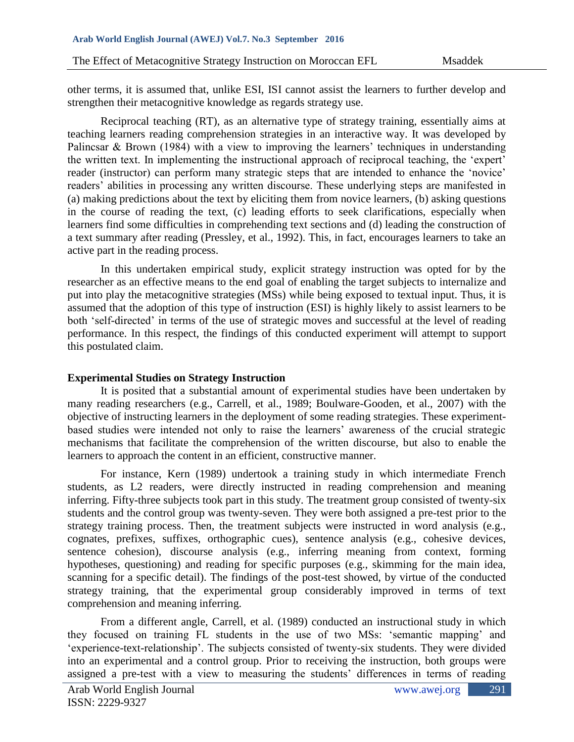other terms, it is assumed that, unlike ESI, ISI cannot assist the learners to further develop and strengthen their metacognitive knowledge as regards strategy use.

Reciprocal teaching (RT), as an alternative type of strategy training, essentially aims at teaching learners reading comprehension strategies in an interactive way. It was developed by Palincsar & Brown (1984) with a view to improving the learners' techniques in understanding the written text. In implementing the instructional approach of reciprocal teaching, the 'expert' reader (instructor) can perform many strategic steps that are intended to enhance the 'novice' readers' abilities in processing any written discourse. These underlying steps are manifested in (a) making predictions about the text by eliciting them from novice learners, (b) asking questions in the course of reading the text, (c) leading efforts to seek clarifications, especially when learners find some difficulties in comprehending text sections and (d) leading the construction of a text summary after reading (Pressley, et al., 1992). This, in fact, encourages learners to take an active part in the reading process.

In this undertaken empirical study, explicit strategy instruction was opted for by the researcher as an effective means to the end goal of enabling the target subjects to internalize and put into play the metacognitive strategies (MSs) while being exposed to textual input. Thus, it is assumed that the adoption of this type of instruction (ESI) is highly likely to assist learners to be both 'self-directed' in terms of the use of strategic moves and successful at the level of reading performance. In this respect, the findings of this conducted experiment will attempt to support this postulated claim.

### **Experimental Studies on Strategy Instruction**

It is posited that a substantial amount of experimental studies have been undertaken by many reading researchers (e.g., Carrell, et al., 1989; Boulware-Gooden, et al., 2007) with the objective of instructing learners in the deployment of some reading strategies. These experimentbased studies were intended not only to raise the learners' awareness of the crucial strategic mechanisms that facilitate the comprehension of the written discourse, but also to enable the learners to approach the content in an efficient, constructive manner.

For instance, Kern (1989) undertook a training study in which intermediate French students, as L2 readers, were directly instructed in reading comprehension and meaning inferring. Fifty-three subjects took part in this study. The treatment group consisted of twenty-six students and the control group was twenty-seven. They were both assigned a pre-test prior to the strategy training process. Then, the treatment subjects were instructed in word analysis (e.g., cognates, prefixes, suffixes, orthographic cues), sentence analysis (e.g., cohesive devices, sentence cohesion), discourse analysis (e.g., inferring meaning from context, forming hypotheses, questioning) and reading for specific purposes (e.g., skimming for the main idea, scanning for a specific detail). The findings of the post-test showed, by virtue of the conducted strategy training, that the experimental group considerably improved in terms of text comprehension and meaning inferring.

From a different angle, Carrell, et al. (1989) conducted an instructional study in which they focused on training FL students in the use of two MSs: 'semantic mapping' and 'experience-text-relationship'. The subjects consisted of twenty-six students. They were divided into an experimental and a control group. Prior to receiving the instruction, both groups were assigned a pre-test with a view to measuring the students' differences in terms of reading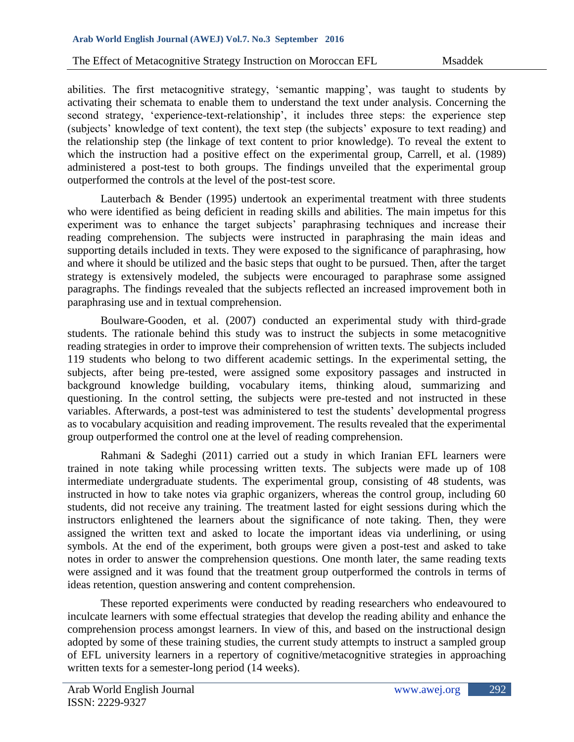abilities. The first metacognitive strategy, 'semantic mapping', was taught to students by activating their schemata to enable them to understand the text under analysis. Concerning the second strategy, 'experience-text-relationship', it includes three steps: the experience step (subjects' knowledge of text content), the text step (the subjects' exposure to text reading) and the relationship step (the linkage of text content to prior knowledge). To reveal the extent to which the instruction had a positive effect on the experimental group, Carrell, et al. (1989) administered a post-test to both groups. The findings unveiled that the experimental group outperformed the controls at the level of the post-test score.

Lauterbach & Bender (1995) undertook an experimental treatment with three students who were identified as being deficient in reading skills and abilities. The main impetus for this experiment was to enhance the target subjects' paraphrasing techniques and increase their reading comprehension. The subjects were instructed in paraphrasing the main ideas and supporting details included in texts. They were exposed to the significance of paraphrasing, how and where it should be utilized and the basic steps that ought to be pursued. Then, after the target strategy is extensively modeled, the subjects were encouraged to paraphrase some assigned paragraphs. The findings revealed that the subjects reflected an increased improvement both in paraphrasing use and in textual comprehension.

Boulware-Gooden, et al. (2007) conducted an experimental study with third-grade students. The rationale behind this study was to instruct the subjects in some metacognitive reading strategies in order to improve their comprehension of written texts. The subjects included 119 students who belong to two different academic settings. In the experimental setting, the subjects, after being pre-tested, were assigned some expository passages and instructed in background knowledge building, vocabulary items, thinking aloud, summarizing and questioning. In the control setting, the subjects were pre-tested and not instructed in these variables. Afterwards, a post-test was administered to test the students' developmental progress as to vocabulary acquisition and reading improvement. The results revealed that the experimental group outperformed the control one at the level of reading comprehension.

Rahmani & Sadeghi (2011) carried out a study in which Iranian EFL learners were trained in note taking while processing written texts. The subjects were made up of 108 intermediate undergraduate students. The experimental group, consisting of 48 students, was instructed in how to take notes via graphic organizers, whereas the control group, including 60 students, did not receive any training. The treatment lasted for eight sessions during which the instructors enlightened the learners about the significance of note taking. Then, they were assigned the written text and asked to locate the important ideas via underlining, or using symbols. At the end of the experiment, both groups were given a post-test and asked to take notes in order to answer the comprehension questions. One month later, the same reading texts were assigned and it was found that the treatment group outperformed the controls in terms of ideas retention, question answering and content comprehension.

These reported experiments were conducted by reading researchers who endeavoured to inculcate learners with some effectual strategies that develop the reading ability and enhance the comprehension process amongst learners. In view of this, and based on the instructional design adopted by some of these training studies, the current study attempts to instruct a sampled group of EFL university learners in a repertory of cognitive/metacognitive strategies in approaching written texts for a semester-long period (14 weeks).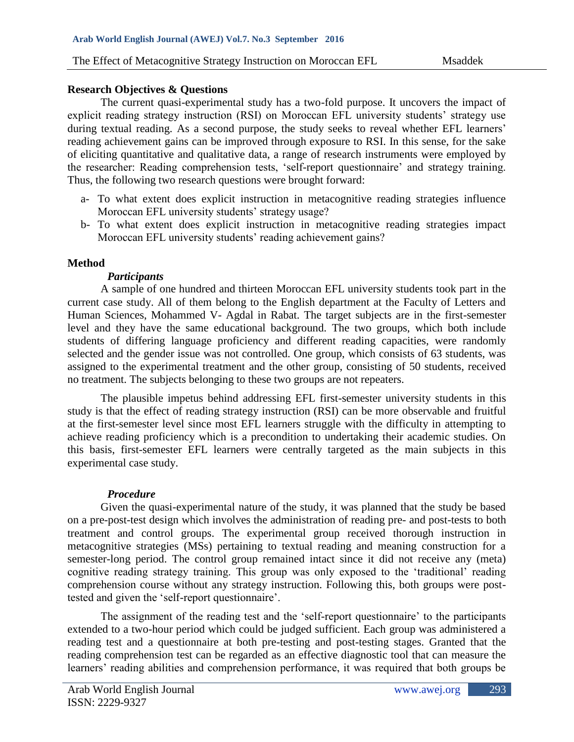### **Research Objectives & Questions**

The current quasi-experimental study has a two-fold purpose. It uncovers the impact of explicit reading strategy instruction (RSI) on Moroccan EFL university students' strategy use during textual reading. As a second purpose, the study seeks to reveal whether EFL learners' reading achievement gains can be improved through exposure to RSI. In this sense, for the sake of eliciting quantitative and qualitative data, a range of research instruments were employed by the researcher: Reading comprehension tests, 'self-report questionnaire' and strategy training. Thus, the following two research questions were brought forward:

- a- To what extent does explicit instruction in metacognitive reading strategies influence Moroccan EFL university students' strategy usage?
- b- To what extent does explicit instruction in metacognitive reading strategies impact Moroccan EFL university students' reading achievement gains?

## **Method**

### *Participants*

A sample of one hundred and thirteen Moroccan EFL university students took part in the current case study. All of them belong to the English department at the Faculty of Letters and Human Sciences, Mohammed V- Agdal in Rabat. The target subjects are in the first-semester level and they have the same educational background. The two groups, which both include students of differing language proficiency and different reading capacities, were randomly selected and the gender issue was not controlled. One group, which consists of 63 students, was assigned to the experimental treatment and the other group, consisting of 50 students, received no treatment. The subjects belonging to these two groups are not repeaters.

The plausible impetus behind addressing EFL first-semester university students in this study is that the effect of reading strategy instruction (RSI) can be more observable and fruitful at the first-semester level since most EFL learners struggle with the difficulty in attempting to achieve reading proficiency which is a precondition to undertaking their academic studies. On this basis, first-semester EFL learners were centrally targeted as the main subjects in this experimental case study.

### *Procedure*

Given the quasi-experimental nature of the study, it was planned that the study be based on a pre-post-test design which involves the administration of reading pre- and post-tests to both treatment and control groups. The experimental group received thorough instruction in metacognitive strategies (MSs) pertaining to textual reading and meaning construction for a semester-long period. The control group remained intact since it did not receive any (meta) cognitive reading strategy training. This group was only exposed to the 'traditional' reading comprehension course without any strategy instruction. Following this, both groups were posttested and given the 'self-report questionnaire'.

The assignment of the reading test and the 'self-report questionnaire' to the participants extended to a two-hour period which could be judged sufficient. Each group was administered a reading test and a questionnaire at both pre-testing and post-testing stages. Granted that the reading comprehension test can be regarded as an effective diagnostic tool that can measure the learners' reading abilities and comprehension performance, it was required that both groups be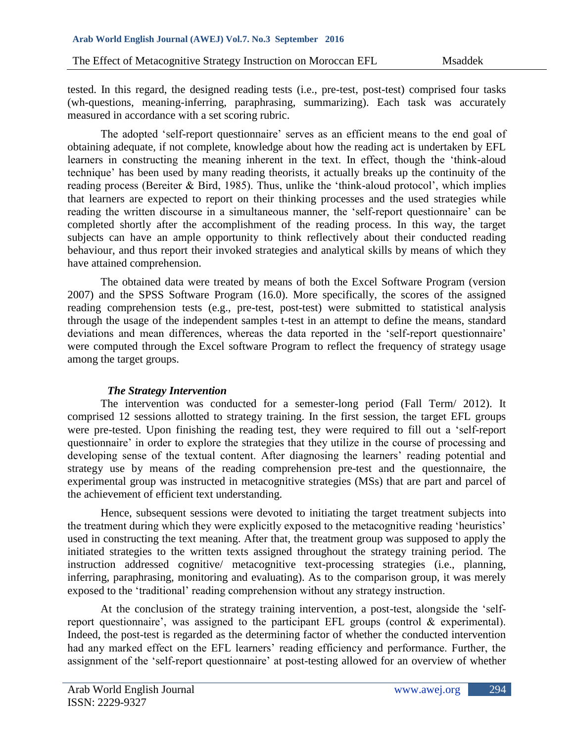tested. In this regard, the designed reading tests (i.e., pre-test, post-test) comprised four tasks (wh-questions, meaning-inferring, paraphrasing, summarizing). Each task was accurately measured in accordance with a set scoring rubric.

The adopted 'self-report questionnaire' serves as an efficient means to the end goal of obtaining adequate, if not complete, knowledge about how the reading act is undertaken by EFL learners in constructing the meaning inherent in the text. In effect, though the 'think-aloud technique' has been used by many reading theorists, it actually breaks up the continuity of the reading process (Bereiter & Bird, 1985). Thus, unlike the 'think-aloud protocol', which implies that learners are expected to report on their thinking processes and the used strategies while reading the written discourse in a simultaneous manner, the 'self-report questionnaire' can be completed shortly after the accomplishment of the reading process. In this way, the target subjects can have an ample opportunity to think reflectively about their conducted reading behaviour, and thus report their invoked strategies and analytical skills by means of which they have attained comprehension.

The obtained data were treated by means of both the Excel Software Program (version 2007) and the SPSS Software Program (16.0). More specifically, the scores of the assigned reading comprehension tests (e.g., pre-test, post-test) were submitted to statistical analysis through the usage of the independent samples t-test in an attempt to define the means, standard deviations and mean differences, whereas the data reported in the 'self-report questionnaire' were computed through the Excel software Program to reflect the frequency of strategy usage among the target groups.

### *The Strategy Intervention*

The intervention was conducted for a semester-long period (Fall Term/ 2012). It comprised 12 sessions allotted to strategy training. In the first session, the target EFL groups were pre-tested. Upon finishing the reading test, they were required to fill out a 'self-report questionnaire' in order to explore the strategies that they utilize in the course of processing and developing sense of the textual content. After diagnosing the learners' reading potential and strategy use by means of the reading comprehension pre-test and the questionnaire, the experimental group was instructed in metacognitive strategies (MSs) that are part and parcel of the achievement of efficient text understanding.

Hence, subsequent sessions were devoted to initiating the target treatment subjects into the treatment during which they were explicitly exposed to the metacognitive reading 'heuristics' used in constructing the text meaning. After that, the treatment group was supposed to apply the initiated strategies to the written texts assigned throughout the strategy training period. The instruction addressed cognitive/ metacognitive text-processing strategies (i.e., planning, inferring, paraphrasing, monitoring and evaluating). As to the comparison group, it was merely exposed to the 'traditional' reading comprehension without any strategy instruction.

At the conclusion of the strategy training intervention, a post-test, alongside the 'selfreport questionnaire', was assigned to the participant EFL groups (control & experimental). Indeed, the post-test is regarded as the determining factor of whether the conducted intervention had any marked effect on the EFL learners' reading efficiency and performance. Further, the assignment of the 'self-report questionnaire' at post-testing allowed for an overview of whether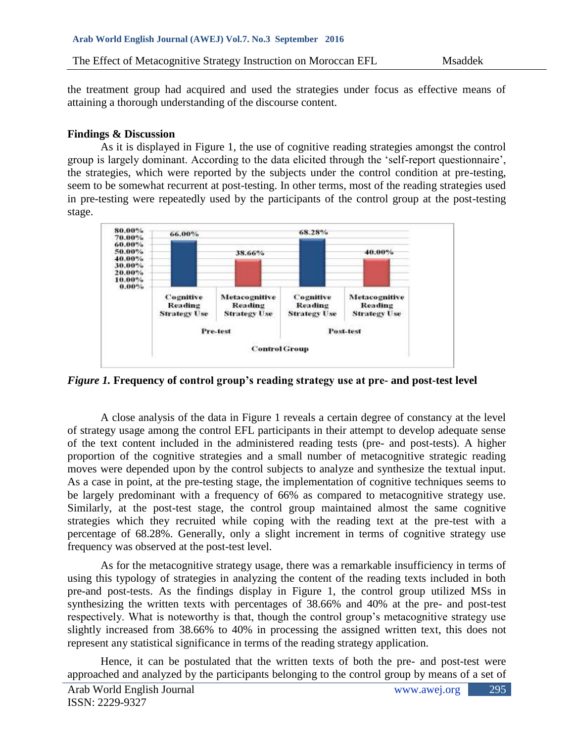the treatment group had acquired and used the strategies under focus as effective means of attaining a thorough understanding of the discourse content.

## **Findings & Discussion**

As it is displayed in Figure 1, the use of cognitive reading strategies amongst the control group is largely dominant. According to the data elicited through the 'self-report questionnaire', the strategies, which were reported by the subjects under the control condition at pre-testing, seem to be somewhat recurrent at post-testing. In other terms, most of the reading strategies used in pre-testing were repeatedly used by the participants of the control group at the post-testing stage.



*Figure 1.* **Frequency of control group's reading strategy use at pre- and post-test level**

A close analysis of the data in Figure 1 reveals a certain degree of constancy at the level of strategy usage among the control EFL participants in their attempt to develop adequate sense of the text content included in the administered reading tests (pre- and post-tests). A higher proportion of the cognitive strategies and a small number of metacognitive strategic reading moves were depended upon by the control subjects to analyze and synthesize the textual input. As a case in point, at the pre-testing stage, the implementation of cognitive techniques seems to be largely predominant with a frequency of 66% as compared to metacognitive strategy use. Similarly, at the post-test stage, the control group maintained almost the same cognitive strategies which they recruited while coping with the reading text at the pre-test with a percentage of 68.28%. Generally, only a slight increment in terms of cognitive strategy use frequency was observed at the post-test level.

As for the metacognitive strategy usage, there was a remarkable insufficiency in terms of using this typology of strategies in analyzing the content of the reading texts included in both pre-and post-tests. As the findings display in Figure 1, the control group utilized MSs in synthesizing the written texts with percentages of 38.66% and 40% at the pre- and post-test respectively. What is noteworthy is that, though the control group's metacognitive strategy use slightly increased from 38.66% to 40% in processing the assigned written text, this does not represent any statistical significance in terms of the reading strategy application.

Hence, it can be postulated that the written texts of both the pre- and post-test were approached and analyzed by the participants belonging to the control group by means of a set of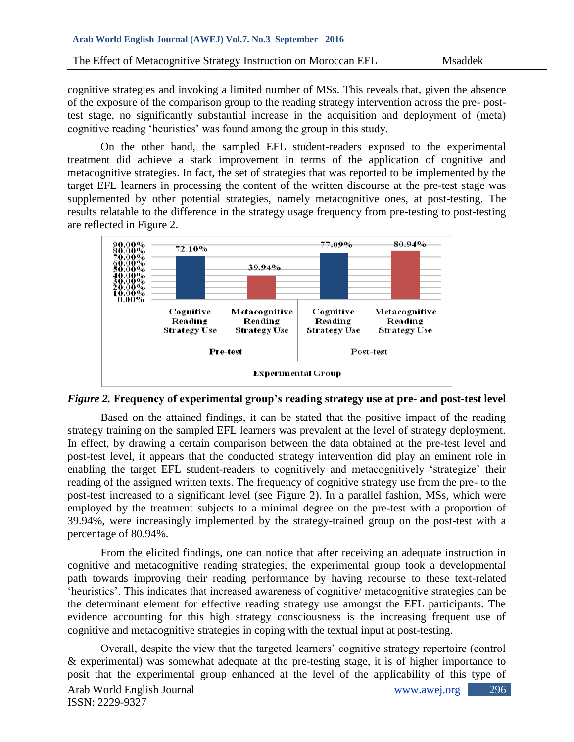cognitive strategies and invoking a limited number of MSs. This reveals that, given the absence of the exposure of the comparison group to the reading strategy intervention across the pre- posttest stage, no significantly substantial increase in the acquisition and deployment of (meta) cognitive reading 'heuristics' was found among the group in this study.

On the other hand, the sampled EFL student-readers exposed to the experimental treatment did achieve a stark improvement in terms of the application of cognitive and metacognitive strategies. In fact, the set of strategies that was reported to be implemented by the target EFL learners in processing the content of the written discourse at the pre-test stage was supplemented by other potential strategies, namely metacognitive ones, at post-testing. The results relatable to the difference in the strategy usage frequency from pre-testing to post-testing are reflected in Figure 2.



*Figure 2.* **Frequency of experimental group's reading strategy use at pre- and post-test level**

Based on the attained findings, it can be stated that the positive impact of the reading strategy training on the sampled EFL learners was prevalent at the level of strategy deployment. In effect, by drawing a certain comparison between the data obtained at the pre-test level and post-test level, it appears that the conducted strategy intervention did play an eminent role in enabling the target EFL student-readers to cognitively and metacognitively 'strategize' their reading of the assigned written texts. The frequency of cognitive strategy use from the pre- to the post-test increased to a significant level (see Figure 2). In a parallel fashion, MSs, which were employed by the treatment subjects to a minimal degree on the pre-test with a proportion of 39.94%, were increasingly implemented by the strategy-trained group on the post-test with a percentage of 80.94%.

From the elicited findings, one can notice that after receiving an adequate instruction in cognitive and metacognitive reading strategies, the experimental group took a developmental path towards improving their reading performance by having recourse to these text-related 'heuristics'. This indicates that increased awareness of cognitive/ metacognitive strategies can be the determinant element for effective reading strategy use amongst the EFL participants. The evidence accounting for this high strategy consciousness is the increasing frequent use of cognitive and metacognitive strategies in coping with the textual input at post-testing.

Overall, despite the view that the targeted learners' cognitive strategy repertoire (control & experimental) was somewhat adequate at the pre-testing stage, it is of higher importance to posit that the experimental group enhanced at the level of the applicability of this type of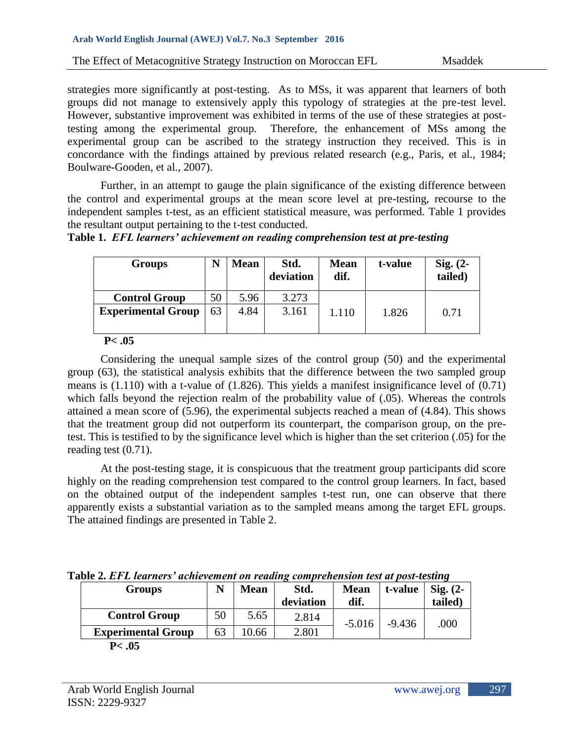strategies more significantly at post-testing. As to MSs, it was apparent that learners of both groups did not manage to extensively apply this typology of strategies at the pre-test level. However, substantive improvement was exhibited in terms of the use of these strategies at posttesting among the experimental group. Therefore, the enhancement of MSs among the experimental group can be ascribed to the strategy instruction they received. This is in concordance with the findings attained by previous related research (e.g., Paris, et al., 1984; Boulware-Gooden, et al., 2007).

Further, in an attempt to gauge the plain significance of the existing difference between the control and experimental groups at the mean score level at pre-testing, recourse to the independent samples t-test, as an efficient statistical measure, was performed. Table 1 provides the resultant output pertaining to the t-test conducted.

|  |  | Table 1. EFL learners' achievement on reading comprehension test at pre-testing |
|--|--|---------------------------------------------------------------------------------|
|  |  |                                                                                 |

| <b>Groups</b>             |    | <b>Mean</b> | Std.<br>deviation | <b>Mean</b><br>dif. | t-value | $Sig. (2-$<br>tailed) |
|---------------------------|----|-------------|-------------------|---------------------|---------|-----------------------|
| <b>Control Group</b>      | 50 | 5.96        | 3.273             |                     |         |                       |
| <b>Experimental Group</b> | 63 | 4.84        | 3.161             | 1.110               | 1.826   | 0.71                  |

#### **P< .05**

Considering the unequal sample sizes of the control group (50) and the experimental group (63), the statistical analysis exhibits that the difference between the two sampled group means is (1.110) with a t-value of (1.826). This yields a manifest insignificance level of (0.71) which falls beyond the rejection realm of the probability value of  $(.05)$ . Whereas the controls attained a mean score of (5.96), the experimental subjects reached a mean of (4.84). This shows that the treatment group did not outperform its counterpart, the comparison group, on the pretest. This is testified to by the significance level which is higher than the set criterion (.05) for the reading test (0.71).

At the post-testing stage, it is conspicuous that the treatment group participants did score highly on the reading comprehension test compared to the control group learners. In fact, based on the obtained output of the independent samples t-test run, one can observe that there apparently exists a substantial variation as to the sampled means among the target EFL groups. The attained findings are presented in Table 2.

| abic 2. Et E icarners - achievement on reaunts comprenension test ut post-testing |    |             |           |             |          |                   |  |
|-----------------------------------------------------------------------------------|----|-------------|-----------|-------------|----------|-------------------|--|
| <b>Groups</b>                                                                     |    | <b>Mean</b> | Std.      | <b>Mean</b> | t-value  | $\text{Sig.}$ (2- |  |
|                                                                                   |    |             | deviation | dif.        |          | tailed)           |  |
| <b>Control Group</b>                                                              | 50 | 5.65        | 2.814     | $-5.016$    | $-9.436$ | .000              |  |
| <b>Experimental Group</b>                                                         | 63 | .0.66       | 2.801     |             |          |                   |  |

**Table 2.** *EFL learners' achievement on reading comprehension test at post-testing*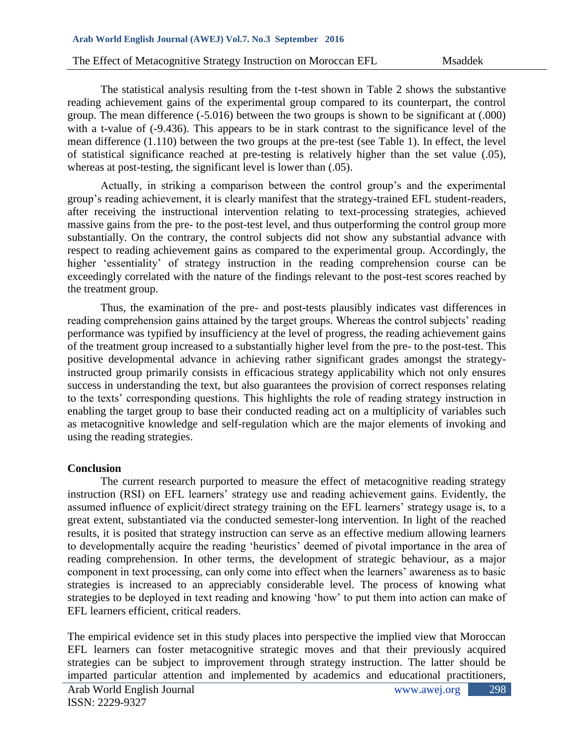The statistical analysis resulting from the t-test shown in Table 2 shows the substantive reading achievement gains of the experimental group compared to its counterpart, the control group. The mean difference (-5.016) between the two groups is shown to be significant at (.000) with a t-value of  $(-9.436)$ . This appears to be in stark contrast to the significance level of the mean difference (1.110) between the two groups at the pre-test (see Table 1). In effect, the level of statistical significance reached at pre-testing is relatively higher than the set value (.05), whereas at post-testing, the significant level is lower than  $(.05)$ .

Actually, in striking a comparison between the control group's and the experimental group's reading achievement, it is clearly manifest that the strategy-trained EFL student-readers, after receiving the instructional intervention relating to text-processing strategies, achieved massive gains from the pre- to the post-test level, and thus outperforming the control group more substantially. On the contrary, the control subjects did not show any substantial advance with respect to reading achievement gains as compared to the experimental group. Accordingly, the higher 'essentiality' of strategy instruction in the reading comprehension course can be exceedingly correlated with the nature of the findings relevant to the post-test scores reached by the treatment group.

Thus, the examination of the pre- and post-tests plausibly indicates vast differences in reading comprehension gains attained by the target groups. Whereas the control subjects' reading performance was typified by insufficiency at the level of progress, the reading achievement gains of the treatment group increased to a substantially higher level from the pre- to the post-test. This positive developmental advance in achieving rather significant grades amongst the strategyinstructed group primarily consists in efficacious strategy applicability which not only ensures success in understanding the text, but also guarantees the provision of correct responses relating to the texts' corresponding questions. This highlights the role of reading strategy instruction in enabling the target group to base their conducted reading act on a multiplicity of variables such as metacognitive knowledge and self-regulation which are the major elements of invoking and using the reading strategies.

### **Conclusion**

The current research purported to measure the effect of metacognitive reading strategy instruction (RSI) on EFL learners' strategy use and reading achievement gains. Evidently, the assumed influence of explicit/direct strategy training on the EFL learners' strategy usage is, to a great extent, substantiated via the conducted semester-long intervention. In light of the reached results, it is posited that strategy instruction can serve as an effective medium allowing learners to developmentally acquire the reading 'heuristics' deemed of pivotal importance in the area of reading comprehension. In other terms, the development of strategic behaviour, as a major component in text processing, can only come into effect when the learners' awareness as to basic strategies is increased to an appreciably considerable level. The process of knowing what strategies to be deployed in text reading and knowing 'how' to put them into action can make of EFL learners efficient, critical readers.

The empirical evidence set in this study places into perspective the implied view that Moroccan EFL learners can foster metacognitive strategic moves and that their previously acquired strategies can be subject to improvement through strategy instruction. The latter should be imparted particular attention and implemented by academics and educational practitioners,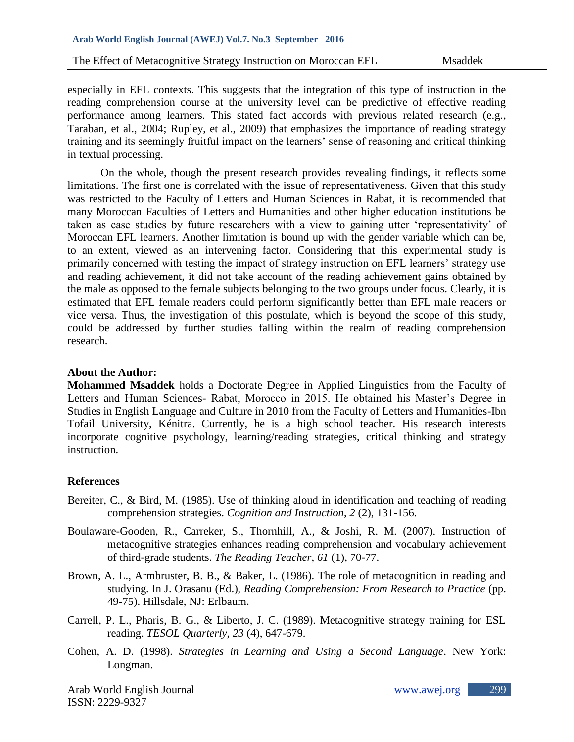especially in EFL contexts. This suggests that the integration of this type of instruction in the reading comprehension course at the university level can be predictive of effective reading performance among learners. This stated fact accords with previous related research (e.g., Taraban, et al., 2004; Rupley, et al., 2009) that emphasizes the importance of reading strategy training and its seemingly fruitful impact on the learners' sense of reasoning and critical thinking in textual processing.

On the whole, though the present research provides revealing findings, it reflects some limitations. The first one is correlated with the issue of representativeness. Given that this study was restricted to the Faculty of Letters and Human Sciences in Rabat, it is recommended that many Moroccan Faculties of Letters and Humanities and other higher education institutions be taken as case studies by future researchers with a view to gaining utter 'representativity' of Moroccan EFL learners. Another limitation is bound up with the gender variable which can be, to an extent, viewed as an intervening factor. Considering that this experimental study is primarily concerned with testing the impact of strategy instruction on EFL learners' strategy use and reading achievement, it did not take account of the reading achievement gains obtained by the male as opposed to the female subjects belonging to the two groups under focus. Clearly, it is estimated that EFL female readers could perform significantly better than EFL male readers or vice versa. Thus, the investigation of this postulate, which is beyond the scope of this study, could be addressed by further studies falling within the realm of reading comprehension research.

### **About the Author:**

**Mohammed Msaddek** holds a Doctorate Degree in Applied Linguistics from the Faculty of Letters and Human Sciences- Rabat, Morocco in 2015. He obtained his Master's Degree in Studies in English Language and Culture in 2010 from the Faculty of Letters and Humanities-Ibn Tofail University, Kénitra. Currently, he is a high school teacher. His research interests incorporate cognitive psychology, learning/reading strategies, critical thinking and strategy instruction.

# **References**

- Bereiter, C., & Bird, M. (1985). Use of thinking aloud in identification and teaching of reading comprehension strategies. *Cognition and Instruction*, *2* (2), 131-156.
- Boulaware-Gooden, R., Carreker, S., Thornhill, A., & Joshi, R. M. (2007). Instruction of metacognitive strategies enhances reading comprehension and vocabulary achievement of third-grade students. *The Reading Teacher*, *61* (1), 70-77.
- Brown, A. L., Armbruster, B. B., & Baker, L. (1986). The role of metacognition in reading and studying. In J. Orasanu (Ed.), *Reading Comprehension: From Research to Practice* (pp. 49-75). Hillsdale, NJ: Erlbaum.
- Carrell, P. L., Pharis, B. G., & Liberto, J. C. (1989). Metacognitive strategy training for ESL reading. *TESOL Quarterly*, *23* (4), 647-679.
- Cohen, A. D. (1998). *Strategies in Learning and Using a Second Language*. New York: Longman.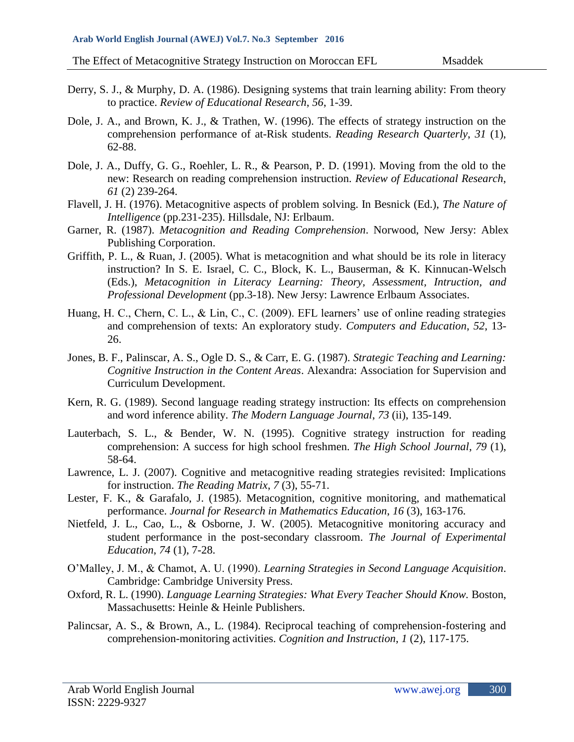- Derry, S. J., & Murphy, D. A. (1986). Designing systems that train learning ability: From theory to practice. *Review of Educational Research*, *56*, 1-39.
- Dole, J. A., and Brown, K. J., & Trathen, W. (1996). The effects of strategy instruction on the comprehension performance of at-Risk students. *Reading Research Quarterly*, *31* (1), 62-88.
- Dole, J. A., Duffy, G. G., Roehler, L. R., & Pearson, P. D. (1991). Moving from the old to the new: Research on reading comprehension instruction. *Review of Educational Research*, *61* (2) 239-264.
- Flavell, J. H. (1976). Metacognitive aspects of problem solving. In Besnick (Ed.), *The Nature of Intelligence* (pp.231-235). Hillsdale, NJ: Erlbaum.
- Garner, R. (1987). *Metacognition and Reading Comprehension*. Norwood, New Jersy: Ablex Publishing Corporation.
- Griffith, P. L., & Ruan, J. (2005). What is metacognition and what should be its role in literacy instruction? In S. E. Israel, C. C., Block, K. L., Bauserman, & K. Kinnucan-Welsch (Eds.), *Metacognition in Literacy Learning: Theory, Assessment, Intruction, and Professional Development* (pp.3-18). New Jersy: Lawrence Erlbaum Associates.
- Huang, H. C., Chern, C. L., & Lin, C., C. (2009). EFL learners' use of online reading strategies and comprehension of texts: An exploratory study. *Computers and Education*, *52*, 13- 26.
- Jones, B. F., Palinscar, A. S., Ogle D. S., & Carr, E. G. (1987). *Strategic Teaching and Learning: Cognitive Instruction in the Content Areas*. Alexandra: Association for Supervision and Curriculum Development.
- Kern, R. G. (1989). Second language reading strategy instruction: Its effects on comprehension and word inference ability. *The Modern Language Journal*, *73* (ii), 135-149.
- Lauterbach, S. L., & Bender, W. N. (1995). Cognitive strategy instruction for reading comprehension: A success for high school freshmen. *The High School Journal*, *79* (1), 58-64.
- Lawrence, L. J. (2007). Cognitive and metacognitive reading strategies revisited: Implications for instruction. *The Reading Matrix*, *7* (3), 55-71.
- Lester, F. K., & Garafalo, J. (1985). Metacognition, cognitive monitoring, and mathematical performance. *Journal for Research in Mathematics Education*, *16* (3), 163-176.
- Nietfeld, J. L., Cao, L., & Osborne, J. W. (2005). Metacognitive monitoring accuracy and student performance in the post-secondary classroom. *The Journal of Experimental Education*, *74* (1), 7-28.
- O'Malley, J. M., & Chamot, A. U. (1990). *Learning Strategies in Second Language Acquisition*. Cambridge: Cambridge University Press.
- Oxford, R. L. (1990). *Language Learning Strategies: What Every Teacher Should Know.* Boston, Massachusetts: Heinle & Heinle Publishers.
- Palincsar, A. S., & Brown, A., L. (1984). Reciprocal teaching of comprehension-fostering and comprehension-monitoring activities. *Cognition and Instruction*, *1* (2), 117-175.